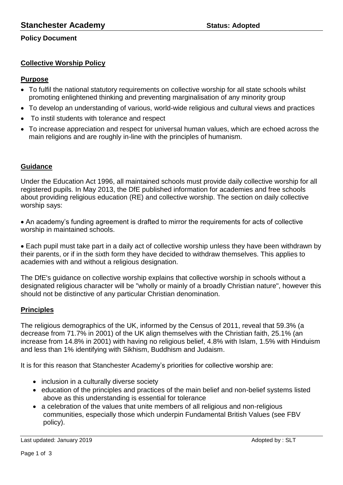## **Policy Document**

# **Collective Worship Policy**

### **Purpose**

- To fulfil the national statutory requirements on collective worship for all state schools whilst promoting enlightened thinking and preventing marginalisation of any minority group
- To develop an understanding of various, world-wide religious and cultural views and practices
- To instil students with tolerance and respect
- To increase appreciation and respect for universal human values, which are echoed across the main religions and are roughly in-line with the principles of humanism.

## **Guidance**

Under the Education Act 1996, all maintained schools must provide daily collective worship for all registered pupils. In May 2013, the DfE published information for academies and free schools about providing religious education (RE) and collective worship. The section on daily collective worship says:

 An academy's funding agreement is drafted to mirror the requirements for acts of collective worship in maintained schools.

 Each pupil must take part in a daily act of collective worship unless they have been withdrawn by their parents, or if in the sixth form they have decided to withdraw themselves. This applies to academies with and without a religious designation.

The DfE's guidance on collective worship explains that collective worship in schools without a designated religious character will be "wholly or mainly of a broadly Christian nature", however this should not be distinctive of any particular Christian denomination.

## **Principles**

The religious demographics of the UK, informed by the Census of 2011, reveal that 59.3% (a decrease from 71.7% in 2001) of the UK align themselves with the Christian faith, 25.1% (an increase from 14.8% in 2001) with having no religious belief, 4.8% with Islam, 1.5% with Hinduism and less than 1% identifying with Sikhism, Buddhism and Judaism.

It is for this reason that Stanchester Academy's priorities for collective worship are:

- inclusion in a culturally diverse society
- education of the principles and practices of the main belief and non-belief systems listed above as this understanding is essential for tolerance
- a celebration of the values that unite members of all religious and non-religious communities, especially those which underpin Fundamental British Values (see FBV policy).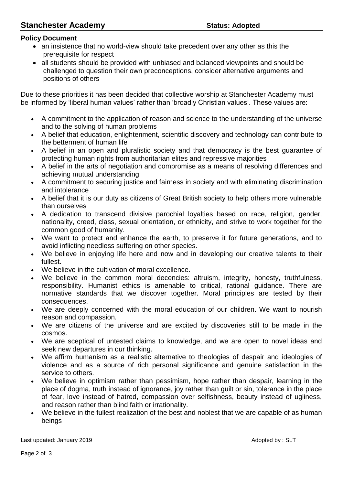# **Stanchester Academy Status: Adopted**

## **Policy Document**

- an insistence that no world-view should take precedent over any other as this the prerequisite for respect
- all students should be provided with unbiased and balanced viewpoints and should be challenged to question their own preconceptions, consider alternative arguments and positions of others

Due to these priorities it has been decided that collective worship at Stanchester Academy must be informed by 'liberal human values' rather than 'broadly Christian values'. These values are:

- A commitment to the application of reason and science to the understanding of the universe and to the solving of human problems
- A belief that education, enlightenment, scientific discovery and technology can contribute to the betterment of human life
- A belief in an open and pluralistic society and that democracy is the best guarantee of protecting human rights from authoritarian elites and repressive majorities
- A belief in the arts of negotiation and compromise as a means of resolving differences and achieving mutual understanding
- A commitment to securing justice and fairness in society and with eliminating discrimination and intolerance
- A belief that it is our duty as citizens of Great British society to help others more vulnerable than ourselves
- A dedication to transcend divisive parochial loyalties based on race, religion, gender, nationality, creed, class, sexual orientation, or ethnicity, and strive to work together for the common good of humanity.
- We want to protect and enhance the earth, to preserve it for future generations, and to avoid inflicting needless suffering on other species.
- We believe in enjoying life here and now and in developing our creative talents to their fullest.
- We believe in the cultivation of moral excellence.
- We believe in the common moral decencies: altruism, integrity, honesty, truthfulness, responsibility. Humanist ethics is amenable to critical, rational guidance. There are normative standards that we discover together. Moral principles are tested by their consequences.
- We are deeply concerned with the moral education of our children. We want to nourish reason and compassion.
- We are citizens of the universe and are excited by discoveries still to be made in the cosmos.
- We are sceptical of untested claims to knowledge, and we are open to novel ideas and seek new departures in our thinking.
- We affirm humanism as a realistic alternative to theologies of despair and ideologies of violence and as a source of rich personal significance and genuine satisfaction in the service to others.
- We believe in optimism rather than pessimism, hope rather than despair, learning in the place of dogma, truth instead of ignorance, joy rather than guilt or sin, tolerance in the place of fear, love instead of hatred, compassion over selfishness, beauty instead of ugliness, and reason rather than blind faith or irrationality.
- We believe in the fullest realization of the best and noblest that we are capable of as human beings

Last updated: January 2019 **Adopted by : SLT**